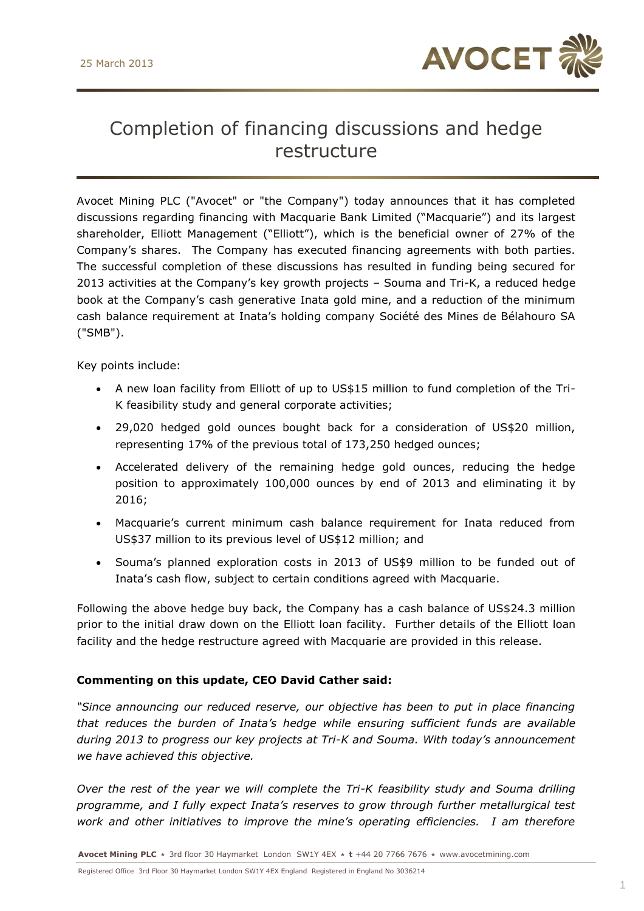

# Completion of financing discussions and hedge restructure

Avocet Mining PLC ("Avocet" or "the Company") today announces that it has completed discussions regarding financing with Macquarie Bank Limited ("Macquarie") and its largest shareholder, Elliott Management ("Elliott"), which is the beneficial owner of 27% of the Company's shares. The Company has executed financing agreements with both parties. The successful completion of these discussions has resulted in funding being secured for 2013 activities at the Company's key growth projects – Souma and Tri-K, a reduced hedge book at the Company's cash generative Inata gold mine, and a reduction of the minimum cash balance requirement at Inata's holding company Société des Mines de Bélahouro SA ("SMB").

Key points include:

- A new loan facility from Elliott of up to US\$15 million to fund completion of the Tri-K feasibility study and general corporate activities;
- 29,020 hedged gold ounces bought back for a consideration of US\$20 million, representing 17% of the previous total of 173,250 hedged ounces;
- Accelerated delivery of the remaining hedge gold ounces, reducing the hedge position to approximately 100,000 ounces by end of 2013 and eliminating it by 2016;
- Macquarie's current minimum cash balance requirement for Inata reduced from US\$37 million to its previous level of US\$12 million; and
- Souma's planned exploration costs in 2013 of US\$9 million to be funded out of Inata's cash flow, subject to certain conditions agreed with Macquarie.

Following the above hedge buy back, the Company has a cash balance of US\$24.3 million prior to the initial draw down on the Elliott loan facility. Further details of the Elliott loan facility and the hedge restructure agreed with Macquarie are provided in this release.

## **Commenting on this update, CEO David Cather said:**

*"Since announcing our reduced reserve, our objective has been to put in place financing that reduces the burden of Inata's hedge while ensuring sufficient funds are available during 2013 to progress our key projects at Tri-K and Souma. With today's announcement we have achieved this objective.* 

*Over the rest of the year we will complete the Tri-K feasibility study and Souma drilling programme, and I fully expect Inata's reserves to grow through further metallurgical test work and other initiatives to improve the mine's operating efficiencies. I am therefore*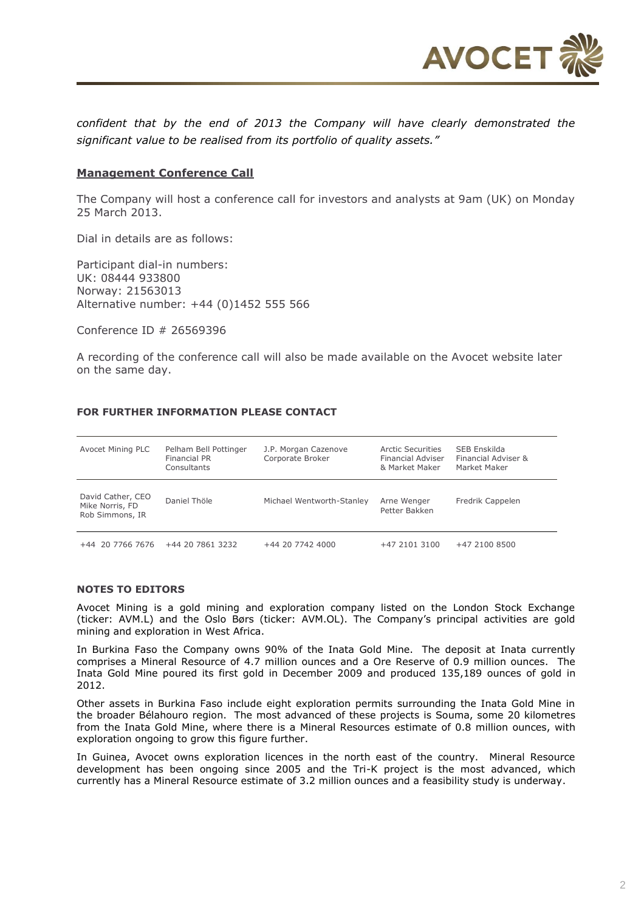

*confident that by the end of 2013 the Company will have clearly demonstrated the significant value to be realised from its portfolio of quality assets."* 

### **Management Conference Call**

The Company will host a conference call for investors and analysts at 9am (UK) on Monday 25 March 2013.

Dial in details are as follows:

Participant dial-in numbers: UK: 08444 933800 Norway: 21563013 Alternative number: +44 (0)1452 555 566

Conference ID # 26569396

A recording of the conference call will also be made available on the Avocet website later on the same day.

### **FOR FURTHER INFORMATION PLEASE CONTACT**

| Avocet Mining PLC                                       | Pelham Bell Pottinger<br><b>Financial PR</b><br>Consultants | J.P. Morgan Cazenove<br>Corporate Broker | Arctic Securities<br><b>Financial Adviser</b><br>& Market Maker | SEB Enskilda<br>Financial Adviser &<br>Market Maker |
|---------------------------------------------------------|-------------------------------------------------------------|------------------------------------------|-----------------------------------------------------------------|-----------------------------------------------------|
| David Cather, CEO<br>Mike Norris, FD<br>Rob Simmons, IR | Daniel Thöle                                                | Michael Wentworth-Stanley                | Arne Wenger<br>Petter Bakken                                    | Fredrik Cappelen                                    |
| $+44$ 20 7766 7676                                      | +44 20 7861 3232                                            | +44 20 7742 4000                         | +47 2101 3100                                                   | +47 2100 8500                                       |

#### **NOTES TO EDITORS**

Avocet Mining is a gold mining and exploration company listed on the London Stock Exchange (ticker: AVM.L) and the Oslo Børs (ticker: AVM.OL). The Company's principal activities are gold mining and exploration in West Africa.

In Burkina Faso the Company owns 90% of the Inata Gold Mine. The deposit at Inata currently comprises a Mineral Resource of 4.7 million ounces and a Ore Reserve of 0.9 million ounces. The Inata Gold Mine poured its first gold in December 2009 and produced 135,189 ounces of gold in 2012.

Other assets in Burkina Faso include eight exploration permits surrounding the Inata Gold Mine in the broader Bélahouro region. The most advanced of these projects is Souma, some 20 kilometres from the Inata Gold Mine, where there is a Mineral Resources estimate of 0.8 million ounces, with exploration ongoing to grow this figure further.

In Guinea, Avocet owns exploration licences in the north east of the country. Mineral Resource development has been ongoing since 2005 and the Tri-K project is the most advanced, which currently has a Mineral Resource estimate of 3.2 million ounces and a feasibility study is underway.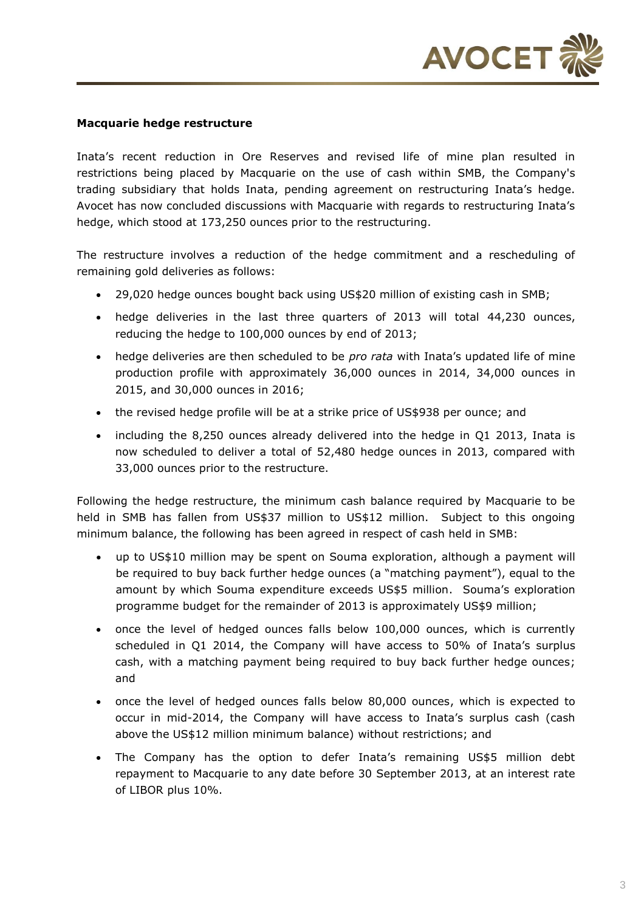

## **Macquarie hedge restructure**

Inata's recent reduction in Ore Reserves and revised life of mine plan resulted in restrictions being placed by Macquarie on the use of cash within SMB, the Company's trading subsidiary that holds Inata, pending agreement on restructuring Inata's hedge. Avocet has now concluded discussions with Macquarie with regards to restructuring Inata's hedge, which stood at 173,250 ounces prior to the restructuring.

The restructure involves a reduction of the hedge commitment and a rescheduling of remaining gold deliveries as follows:

- 29,020 hedge ounces bought back using US\$20 million of existing cash in SMB;
- hedge deliveries in the last three quarters of 2013 will total 44,230 ounces, reducing the hedge to 100,000 ounces by end of 2013;
- hedge deliveries are then scheduled to be *pro rata* with Inata's updated life of mine production profile with approximately 36,000 ounces in 2014, 34,000 ounces in 2015, and 30,000 ounces in 2016;
- the revised hedge profile will be at a strike price of US\$938 per ounce; and
- including the 8,250 ounces already delivered into the hedge in Q1 2013, Inata is now scheduled to deliver a total of 52,480 hedge ounces in 2013, compared with 33,000 ounces prior to the restructure.

Following the hedge restructure, the minimum cash balance required by Macquarie to be held in SMB has fallen from US\$37 million to US\$12 million. Subject to this ongoing minimum balance, the following has been agreed in respect of cash held in SMB:

- up to US\$10 million may be spent on Souma exploration, although a payment will be required to buy back further hedge ounces (a "matching payment"), equal to the amount by which Souma expenditure exceeds US\$5 million. Souma's exploration programme budget for the remainder of 2013 is approximately US\$9 million;
- once the level of hedged ounces falls below 100,000 ounces, which is currently scheduled in Q1 2014, the Company will have access to 50% of Inata's surplus cash, with a matching payment being required to buy back further hedge ounces; and
- once the level of hedged ounces falls below 80,000 ounces, which is expected to occur in mid-2014, the Company will have access to Inata's surplus cash (cash above the US\$12 million minimum balance) without restrictions; and
- The Company has the option to defer Inata's remaining US\$5 million debt repayment to Macquarie to any date before 30 September 2013, at an interest rate of LIBOR plus 10%.